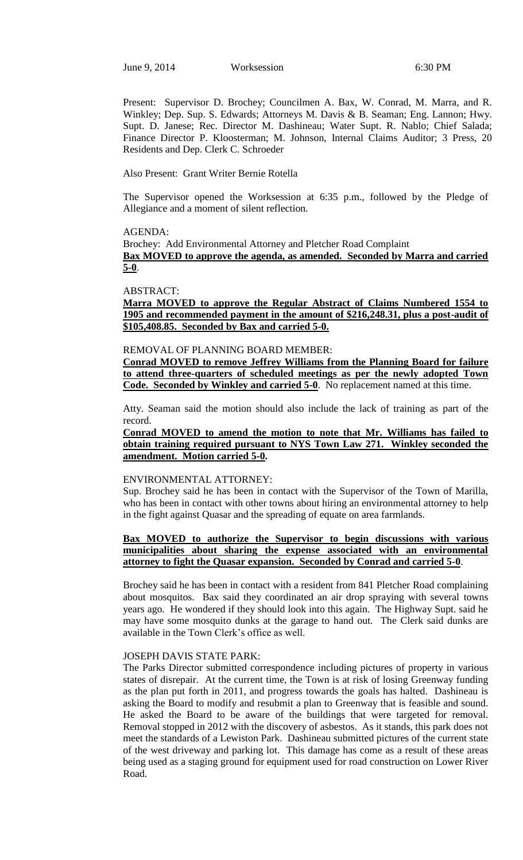June 9, 2014 Worksession 6:30 PM

Present: Supervisor D. Brochey; Councilmen A. Bax, W. Conrad, M. Marra, and R. Winkley; Dep. Sup. S. Edwards; Attorneys M. Davis & B. Seaman; Eng. Lannon; Hwy. Supt. D. Janese; Rec. Director M. Dashineau; Water Supt. R. Nablo; Chief Salada; Finance Director P. Kloosterman; M. Johnson, Internal Claims Auditor; 3 Press, 20 Residents and Dep. Clerk C. Schroeder

Also Present: Grant Writer Bernie Rotella

The Supervisor opened the Worksession at 6:35 p.m., followed by the Pledge of Allegiance and a moment of silent reflection.

#### AGENDA:

Brochey: Add Environmental Attorney and Pletcher Road Complaint **Bax MOVED to approve the agenda, as amended. Seconded by Marra and carried 5-0**.

#### ABSTRACT:

**Marra MOVED to approve the Regular Abstract of Claims Numbered 1554 to 1905 and recommended payment in the amount of \$216,248.31, plus a post-audit of \$105,408.85. Seconded by Bax and carried 5-0.**

## REMOVAL OF PLANNING BOARD MEMBER:

**Conrad MOVED to remove Jeffrey Williams from the Planning Board for failure to attend three-quarters of scheduled meetings as per the newly adopted Town Code. Seconded by Winkley and carried 5-0**. No replacement named at this time.

Atty. Seaman said the motion should also include the lack of training as part of the record.

**Conrad MOVED to amend the motion to note that Mr. Williams has failed to obtain training required pursuant to NYS Town Law 271. Winkley seconded the amendment. Motion carried 5-0.** 

### ENVIRONMENTAL ATTORNEY:

Sup. Brochey said he has been in contact with the Supervisor of the Town of Marilla, who has been in contact with other towns about hiring an environmental attorney to help in the fight against Quasar and the spreading of equate on area farmlands.

# **Bax MOVED to authorize the Supervisor to begin discussions with various municipalities about sharing the expense associated with an environmental attorney to fight the Quasar expansion. Seconded by Conrad and carried 5-0**.

Brochey said he has been in contact with a resident from 841 Pletcher Road complaining about mosquitos. Bax said they coordinated an air drop spraying with several towns years ago. He wondered if they should look into this again. The Highway Supt. said he may have some mosquito dunks at the garage to hand out. The Clerk said dunks are available in the Town Clerk's office as well.

### JOSEPH DAVIS STATE PARK:

The Parks Director submitted correspondence including pictures of property in various states of disrepair. At the current time, the Town is at risk of losing Greenway funding as the plan put forth in 2011, and progress towards the goals has halted. Dashineau is asking the Board to modify and resubmit a plan to Greenway that is feasible and sound. He asked the Board to be aware of the buildings that were targeted for removal. Removal stopped in 2012 with the discovery of asbestos. As it stands, this park does not meet the standards of a Lewiston Park. Dashineau submitted pictures of the current state of the west driveway and parking lot. This damage has come as a result of these areas being used as a staging ground for equipment used for road construction on Lower River Road.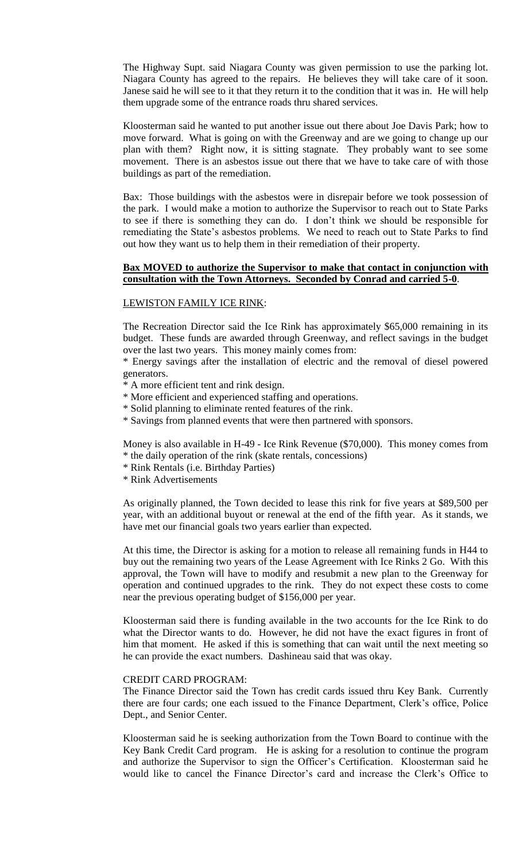The Highway Supt. said Niagara County was given permission to use the parking lot. Niagara County has agreed to the repairs. He believes they will take care of it soon. Janese said he will see to it that they return it to the condition that it was in. He will help them upgrade some of the entrance roads thru shared services.

Kloosterman said he wanted to put another issue out there about Joe Davis Park; how to move forward. What is going on with the Greenway and are we going to change up our plan with them? Right now, it is sitting stagnate. They probably want to see some movement. There is an asbestos issue out there that we have to take care of with those buildings as part of the remediation.

Bax: Those buildings with the asbestos were in disrepair before we took possession of the park. I would make a motion to authorize the Supervisor to reach out to State Parks to see if there is something they can do. I don't think we should be responsible for remediating the State's asbestos problems. We need to reach out to State Parks to find out how they want us to help them in their remediation of their property.

# **Bax MOVED to authorize the Supervisor to make that contact in conjunction with consultation with the Town Attorneys. Seconded by Conrad and carried 5-0**.

## LEWISTON FAMILY ICE RINK:

The Recreation Director said the Ice Rink has approximately \$65,000 remaining in its budget. These funds are awarded through Greenway, and reflect savings in the budget over the last two years. This money mainly comes from:

\* Energy savings after the installation of electric and the removal of diesel powered generators.

\* A more efficient tent and rink design.

- \* More efficient and experienced staffing and operations.
- \* Solid planning to eliminate rented features of the rink.
- \* Savings from planned events that were then partnered with sponsors.

Money is also available in H-49 - Ice Rink Revenue (\$70,000). This money comes from \* the daily operation of the rink (skate rentals, concessions)

- \* Rink Rentals (i.e. Birthday Parties)
- \* Rink Advertisements

As originally planned, the Town decided to lease this rink for five years at \$89,500 per year, with an additional buyout or renewal at the end of the fifth year. As it stands, we have met our financial goals two years earlier than expected.

At this time, the Director is asking for a motion to release all remaining funds in H44 to buy out the remaining two years of the Lease Agreement with Ice Rinks 2 Go. With this approval, the Town will have to modify and resubmit a new plan to the Greenway for operation and continued upgrades to the rink. They do not expect these costs to come near the previous operating budget of \$156,000 per year.

Kloosterman said there is funding available in the two accounts for the Ice Rink to do what the Director wants to do. However, he did not have the exact figures in front of him that moment. He asked if this is something that can wait until the next meeting so he can provide the exact numbers. Dashineau said that was okay.

### CREDIT CARD PROGRAM:

The Finance Director said the Town has credit cards issued thru Key Bank. Currently there are four cards; one each issued to the Finance Department, Clerk's office, Police Dept., and Senior Center.

Kloosterman said he is seeking authorization from the Town Board to continue with the Key Bank Credit Card program. He is asking for a resolution to continue the program and authorize the Supervisor to sign the Officer's Certification. Kloosterman said he would like to cancel the Finance Director's card and increase the Clerk's Office to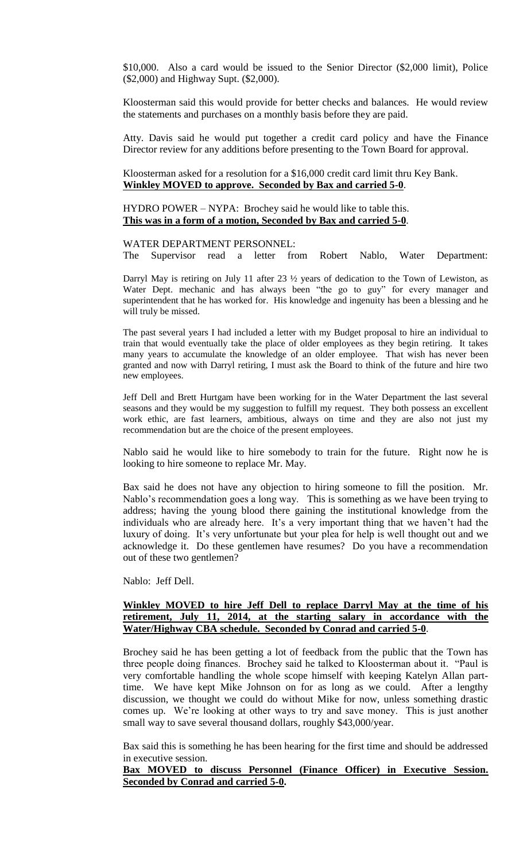\$10,000. Also a card would be issued to the Senior Director (\$2,000 limit), Police (\$2,000) and Highway Supt. (\$2,000).

Kloosterman said this would provide for better checks and balances. He would review the statements and purchases on a monthly basis before they are paid.

Atty. Davis said he would put together a credit card policy and have the Finance Director review for any additions before presenting to the Town Board for approval.

Kloosterman asked for a resolution for a \$16,000 credit card limit thru Key Bank. **Winkley MOVED to approve. Seconded by Bax and carried 5-0**.

HYDRO POWER – NYPA: Brochey said he would like to table this. **This was in a form of a motion, Seconded by Bax and carried 5-0**.

#### WATER DEPARTMENT PERSONNEL:

The Supervisor read a letter from Robert Nablo, Water Department:

Darryl May is retiring on July 11 after 23 ½ years of dedication to the Town of Lewiston, as Water Dept. mechanic and has always been "the go to guy" for every manager and superintendent that he has worked for. His knowledge and ingenuity has been a blessing and he will truly be missed.

The past several years I had included a letter with my Budget proposal to hire an individual to train that would eventually take the place of older employees as they begin retiring. It takes many years to accumulate the knowledge of an older employee. That wish has never been granted and now with Darryl retiring, I must ask the Board to think of the future and hire two new employees.

Jeff Dell and Brett Hurtgam have been working for in the Water Department the last several seasons and they would be my suggestion to fulfill my request. They both possess an excellent work ethic, are fast learners, ambitious, always on time and they are also not just my recommendation but are the choice of the present employees.

Nablo said he would like to hire somebody to train for the future. Right now he is looking to hire someone to replace Mr. May.

Bax said he does not have any objection to hiring someone to fill the position. Mr. Nablo's recommendation goes a long way. This is something as we have been trying to address; having the young blood there gaining the institutional knowledge from the individuals who are already here. It's a very important thing that we haven't had the luxury of doing. It's very unfortunate but your plea for help is well thought out and we acknowledge it. Do these gentlemen have resumes? Do you have a recommendation out of these two gentlemen?

Nablo: Jeff Dell.

# **Winkley MOVED to hire Jeff Dell to replace Darryl May at the time of his retirement, July 11, 2014, at the starting salary in accordance with the Water/Highway CBA schedule. Seconded by Conrad and carried 5-0**.

Brochey said he has been getting a lot of feedback from the public that the Town has three people doing finances. Brochey said he talked to Kloosterman about it. "Paul is very comfortable handling the whole scope himself with keeping Katelyn Allan parttime. We have kept Mike Johnson on for as long as we could. After a lengthy discussion, we thought we could do without Mike for now, unless something drastic comes up. We're looking at other ways to try and save money. This is just another small way to save several thousand dollars, roughly \$43,000/year.

Bax said this is something he has been hearing for the first time and should be addressed in executive session.

## **Bax MOVED to discuss Personnel (Finance Officer) in Executive Session. Seconded by Conrad and carried 5-0.**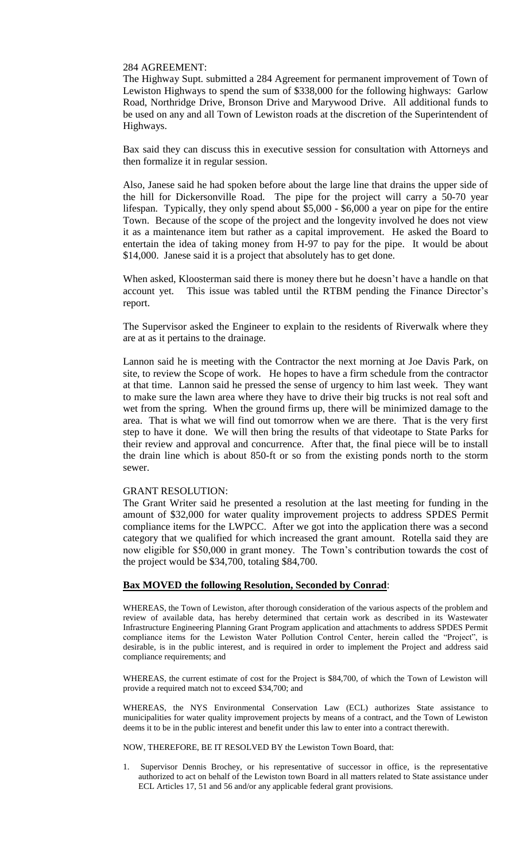### 284 AGREEMENT:

The Highway Supt. submitted a 284 Agreement for permanent improvement of Town of Lewiston Highways to spend the sum of \$338,000 for the following highways: Garlow Road, Northridge Drive, Bronson Drive and Marywood Drive. All additional funds to be used on any and all Town of Lewiston roads at the discretion of the Superintendent of Highways.

Bax said they can discuss this in executive session for consultation with Attorneys and then formalize it in regular session.

Also, Janese said he had spoken before about the large line that drains the upper side of the hill for Dickersonville Road. The pipe for the project will carry a 50-70 year lifespan. Typically, they only spend about \$5,000 - \$6,000 a year on pipe for the entire Town. Because of the scope of the project and the longevity involved he does not view it as a maintenance item but rather as a capital improvement. He asked the Board to entertain the idea of taking money from H-97 to pay for the pipe. It would be about \$14,000. Janese said it is a project that absolutely has to get done.

When asked, Kloosterman said there is money there but he doesn't have a handle on that account yet. This issue was tabled until the RTBM pending the Finance Director's report.

The Supervisor asked the Engineer to explain to the residents of Riverwalk where they are at as it pertains to the drainage.

Lannon said he is meeting with the Contractor the next morning at Joe Davis Park, on site, to review the Scope of work. He hopes to have a firm schedule from the contractor at that time. Lannon said he pressed the sense of urgency to him last week. They want to make sure the lawn area where they have to drive their big trucks is not real soft and wet from the spring. When the ground firms up, there will be minimized damage to the area. That is what we will find out tomorrow when we are there. That is the very first step to have it done. We will then bring the results of that videotape to State Parks for their review and approval and concurrence. After that, the final piece will be to install the drain line which is about 850-ft or so from the existing ponds north to the storm sewer.

## GRANT RESOLUTION:

The Grant Writer said he presented a resolution at the last meeting for funding in the amount of \$32,000 for water quality improvement projects to address SPDES Permit compliance items for the LWPCC. After we got into the application there was a second category that we qualified for which increased the grant amount. Rotella said they are now eligible for \$50,000 in grant money. The Town's contribution towards the cost of the project would be \$34,700, totaling \$84,700.

## **Bax MOVED the following Resolution, Seconded by Conrad**:

WHEREAS, the Town of Lewiston, after thorough consideration of the various aspects of the problem and review of available data, has hereby determined that certain work as described in its Wastewater Infrastructure Engineering Planning Grant Program application and attachments to address SPDES Permit compliance items for the Lewiston Water Pollution Control Center, herein called the "Project", is desirable, is in the public interest, and is required in order to implement the Project and address said compliance requirements; and

WHEREAS, the current estimate of cost for the Project is \$84,700, of which the Town of Lewiston will provide a required match not to exceed \$34,700; and

WHEREAS, the NYS Environmental Conservation Law (ECL) authorizes State assistance to municipalities for water quality improvement projects by means of a contract, and the Town of Lewiston deems it to be in the public interest and benefit under this law to enter into a contract therewith.

NOW, THEREFORE, BE IT RESOLVED BY the Lewiston Town Board, that:

1. Supervisor Dennis Brochey, or his representative of successor in office, is the representative authorized to act on behalf of the Lewiston town Board in all matters related to State assistance under ECL Articles 17, 51 and 56 and/or any applicable federal grant provisions.